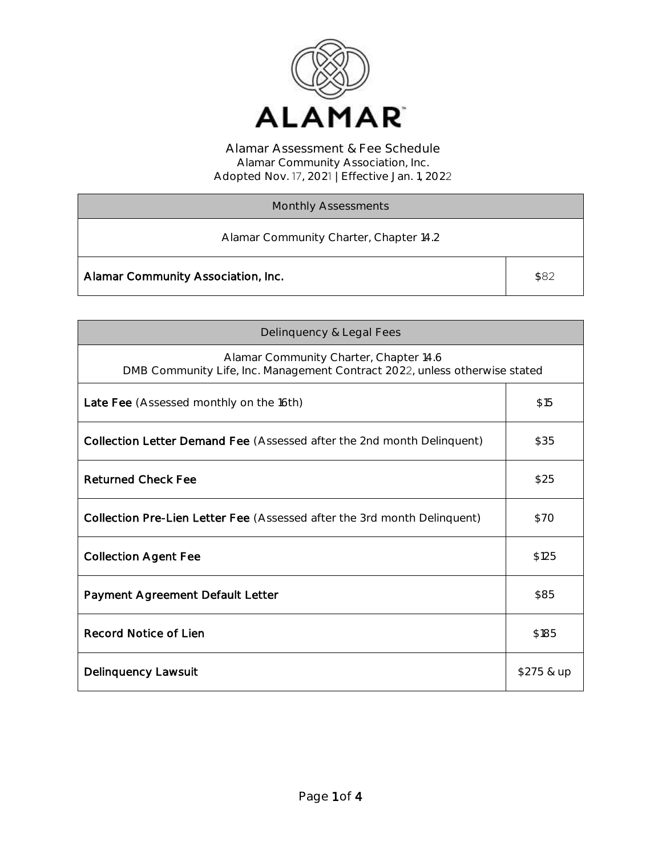

| <b>Monthly Assessments</b>             |      |
|----------------------------------------|------|
| Alamar Community Charter, Chapter 14.2 |      |
| Alamar Community Association, Inc.     | \$82 |

| Delinquency & Legal Fees                                                                                             |            |
|----------------------------------------------------------------------------------------------------------------------|------------|
| Alamar Community Charter, Chapter 14.6<br>DMB Community Life, Inc. Management Contract 2022, unless otherwise stated |            |
| Late Fee (Assessed monthly on the 16th)                                                                              | \$15       |
| Collection Letter Demand Fee (Assessed after the 2nd month Delinquent)                                               | \$35       |
| <b>Returned Check Fee</b>                                                                                            | \$25       |
| Collection Pre-Lien Letter Fee (Assessed after the 3rd month Delinquent)                                             | \$70       |
| <b>Collection Agent Fee</b>                                                                                          | \$125      |
| Payment Agreement Default Letter                                                                                     | \$85       |
| Record Notice of Lien                                                                                                | \$185      |
| Delinquency Lawsuit                                                                                                  | \$275 & up |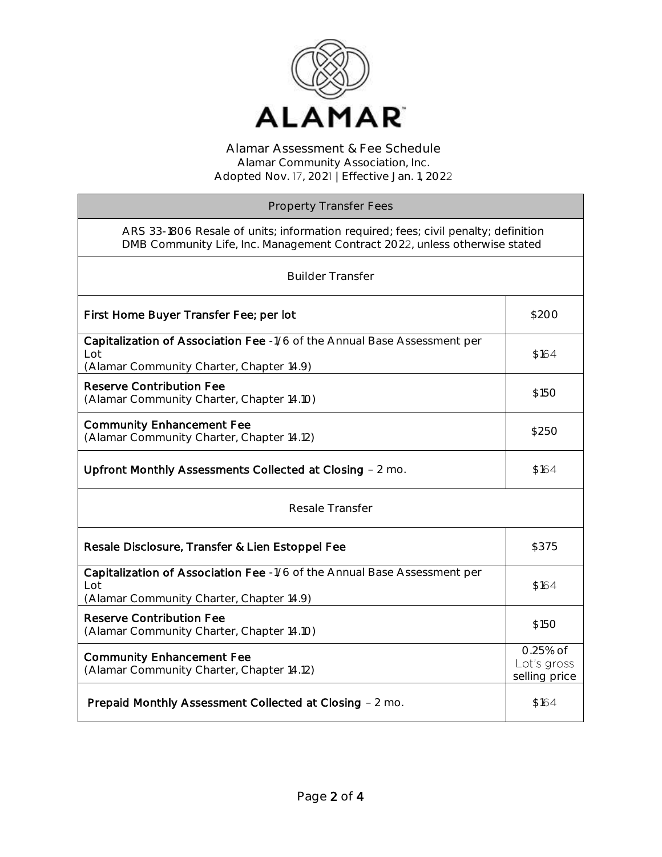

| <b>Property Transfer Fees</b>                                                                                                                                    |                                          |
|------------------------------------------------------------------------------------------------------------------------------------------------------------------|------------------------------------------|
| ARS 33-1806 Resale of units; information required; fees; civil penalty; definition<br>DMB Community Life, Inc. Management Contract 2022, unless otherwise stated |                                          |
| <b>Builder Transfer</b>                                                                                                                                          |                                          |
| First Home Buyer Transfer Fee; per lot                                                                                                                           | \$200                                    |
| Capitalization of Association Fee -1/6 of the Annual Base Assessment per<br>Lot<br>(Alamar Community Charter, Chapter 14.9)                                      | \$164                                    |
| <b>Reserve Contribution Fee</b><br>(Alamar Community Charter, Chapter 14.10)                                                                                     | \$15O                                    |
| <b>Community Enhancement Fee</b><br>(Alamar Community Charter, Chapter 14.12)                                                                                    | \$250                                    |
| Upfront Monthly Assessments Collected at Closing - 2 mo.                                                                                                         | \$164                                    |
| Resale Transfer                                                                                                                                                  |                                          |
| Resale Disclosure, Transfer & Lien Estoppel Fee                                                                                                                  | \$375                                    |
| Capitalization of Association Fee -1/6 of the Annual Base Assessment per<br>Lot<br>(Alamar Community Charter, Chapter 14.9)                                      | \$164                                    |
| <b>Reserve Contribution Fee</b><br>(Alamar Community Charter, Chapter 14.10)                                                                                     | \$150                                    |
| <b>Community Enhancement Fee</b><br>(Alamar Community Charter, Chapter 14.12)                                                                                    | 0.25% of<br>Lot's gross<br>selling price |
| Prepaid Monthly Assessment Collected at Closing - 2 mo.                                                                                                          | \$164                                    |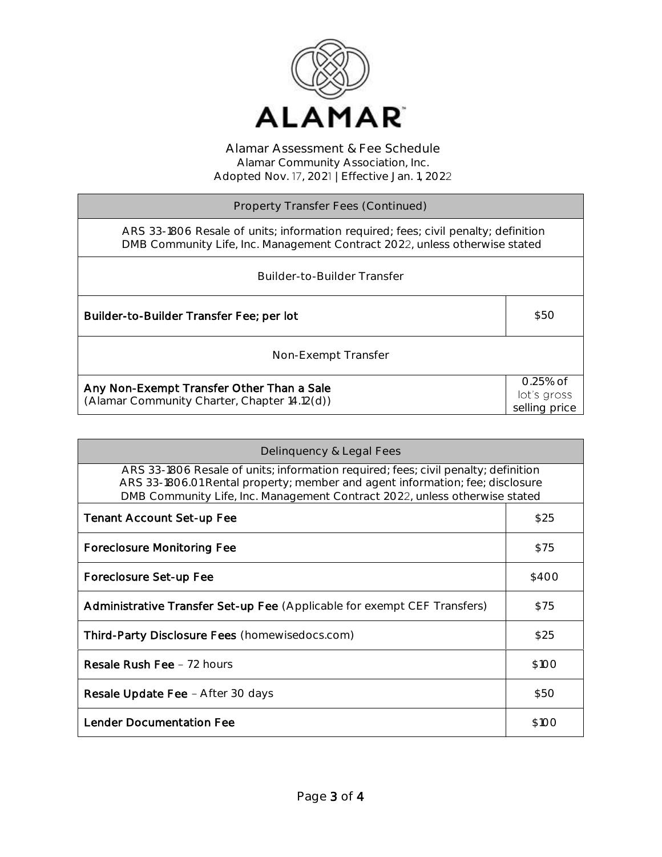

| Property Transfer Fees (Continued)                                                                                                                               |                                            |
|------------------------------------------------------------------------------------------------------------------------------------------------------------------|--------------------------------------------|
| ARS 33-1806 Resale of units; information required; fees; civil penalty; definition<br>DMB Community Life, Inc. Management Contract 2022, unless otherwise stated |                                            |
| Builder-to-Builder Transfer                                                                                                                                      |                                            |
| Builder-to-Builder Transfer Fee; per lot                                                                                                                         | \$50                                       |
| Non-Exempt Transfer                                                                                                                                              |                                            |
| Any Non-Exempt Transfer Other Than a Sale<br>(Alamar Community Charter, Chapter 14.12(d))                                                                        | $0.25%$ of<br>lot's gross<br>selling price |

| Delinquency & Legal Fees                                                                                                                                                                                                                          |       |
|---------------------------------------------------------------------------------------------------------------------------------------------------------------------------------------------------------------------------------------------------|-------|
| ARS 33-1806 Resale of units; information required; fees; civil penalty; definition<br>ARS 33-1806.01 Rental property; member and agent information; fee; disclosure<br>DMB Community Life, Inc. Management Contract 2022, unless otherwise stated |       |
| <b>Tenant Account Set-up Fee</b>                                                                                                                                                                                                                  | \$25  |
| Foreclosure Monitoring Fee                                                                                                                                                                                                                        | \$75  |
| Foreclosure Set-up Fee                                                                                                                                                                                                                            | \$400 |
| <b>Administrative Transfer Set-up Fee</b> (Applicable for exempt CEF Transfers)                                                                                                                                                                   | \$75  |
| Third-Party Disclosure Fees (homewisedocs.com)                                                                                                                                                                                                    | \$25  |
| <b>Resale Rush Fee - 72 hours</b>                                                                                                                                                                                                                 | \$100 |
| Resale Update Fee - After 30 days                                                                                                                                                                                                                 | \$50  |
| Lender Documentation Fee                                                                                                                                                                                                                          | \$100 |